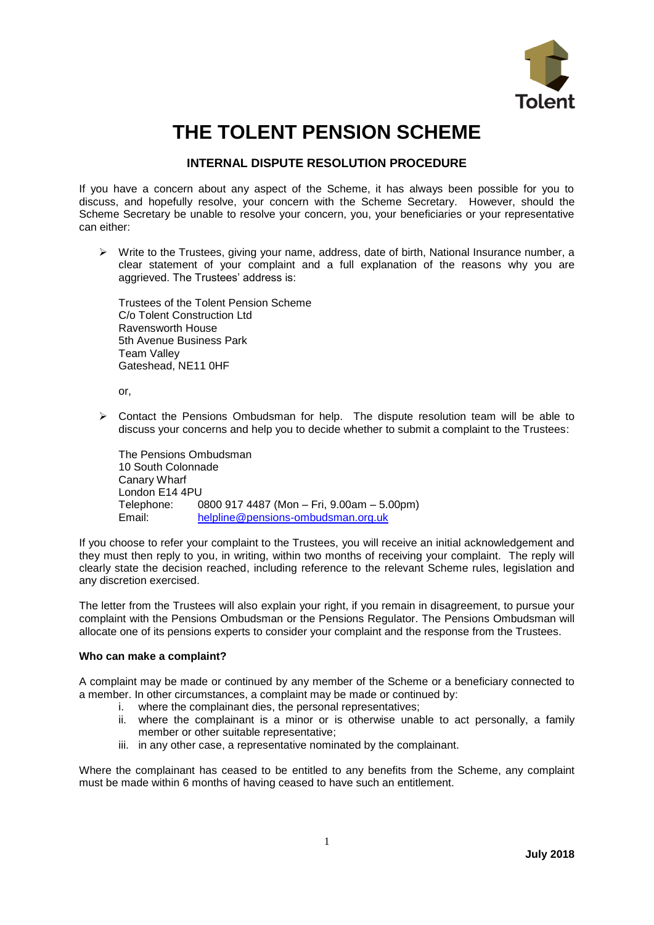

# **THE TOLENT PENSION SCHEME**

# **INTERNAL DISPUTE RESOLUTION PROCEDURE**

If you have a concern about any aspect of the Scheme, it has always been possible for you to discuss, and hopefully resolve, your concern with the Scheme Secretary. However, should the Scheme Secretary be unable to resolve your concern, you, your beneficiaries or your representative can either:

 $\triangleright$  Write to the Trustees, giving your name, address, date of birth, National Insurance number, a clear statement of your complaint and a full explanation of the reasons why you are aggrieved. The Trustees' address is:

Trustees of the Tolent Pension Scheme C/o Tolent Construction Ltd Ravensworth House 5th Avenue Business Park Team Valley Gateshead, NE11 0HF

or,

 $\triangleright$  Contact the Pensions Ombudsman for help. The dispute resolution team will be able to discuss your concerns and help you to decide whether to submit a complaint to the Trustees:

The Pensions Ombudsman 10 South Colonnade Canary Wharf London E14 4PU Telephone: 0800 917 4487 (Mon – Fri, 9.00am – 5.00pm) Email: [helpline@pensions-ombudsman.org.uk](mailto:helpline@pensions-ombudsman.org.uk)

If you choose to refer your complaint to the Trustees, you will receive an initial acknowledgement and they must then reply to you, in writing, within two months of receiving your complaint. The reply will clearly state the decision reached, including reference to the relevant Scheme rules, legislation and any discretion exercised.

The letter from the Trustees will also explain your right, if you remain in disagreement, to pursue your complaint with the Pensions Ombudsman or the Pensions Regulator. The Pensions Ombudsman will allocate one of its pensions experts to consider your complaint and the response from the Trustees.

## **Who can make a complaint?**

A complaint may be made or continued by any member of the Scheme or a beneficiary connected to a member. In other circumstances, a complaint may be made or continued by:

- i. where the complainant dies, the personal representatives;
- ii. where the complainant is a minor or is otherwise unable to act personally, a family member or other suitable representative;
- iii. in any other case, a representative nominated by the complainant.

Where the complainant has ceased to be entitled to any benefits from the Scheme, any complaint must be made within 6 months of having ceased to have such an entitlement.